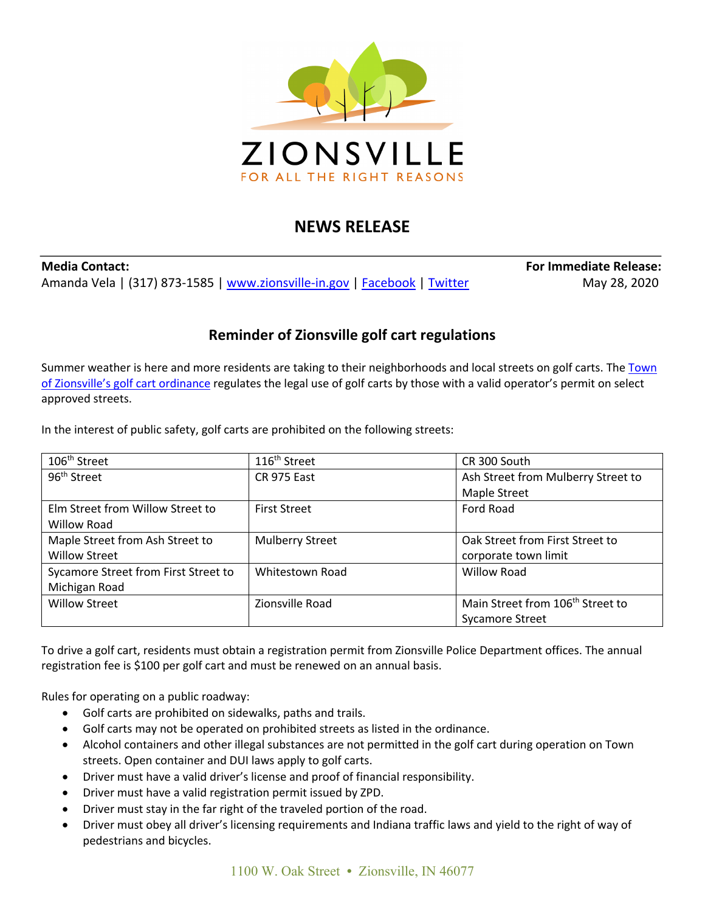

## **NEWS RELEASE**

**Media Contact: For Immediate Release:** Amanda Vela | (317) 873-1585 | www.zionsville-in.gov | Facebook | Twitter May 28, 2020

## **Reminder of Zionsville golf cart regulations**

Summer weather is here and more residents are taking to their neighborhoods and local streets on golf carts. The Town of Zionsville's golf cart ordinance regulates the legal use of golf carts by those with a valid operator's permit on select approved streets.

In the interest of public safety, golf carts are prohibited on the following streets:

| 106 <sup>th</sup> Street             | 116 <sup>th</sup> Street | CR 300 South                                 |
|--------------------------------------|--------------------------|----------------------------------------------|
| 96 <sup>th</sup> Street              | CR 975 East              | Ash Street from Mulberry Street to           |
|                                      |                          | <b>Maple Street</b>                          |
| Elm Street from Willow Street to     | <b>First Street</b>      | Ford Road                                    |
| <b>Willow Road</b>                   |                          |                                              |
| Maple Street from Ash Street to      | <b>Mulberry Street</b>   | Oak Street from First Street to              |
| <b>Willow Street</b>                 |                          | corporate town limit                         |
| Sycamore Street from First Street to | Whitestown Road          | <b>Willow Road</b>                           |
| Michigan Road                        |                          |                                              |
| <b>Willow Street</b>                 | Zionsville Road          | Main Street from 106 <sup>th</sup> Street to |
|                                      |                          | <b>Sycamore Street</b>                       |

To drive a golf cart, residents must obtain a registration permit from Zionsville Police Department offices. The annual registration fee is \$100 per golf cart and must be renewed on an annual basis.

Rules for operating on a public roadway:

- Golf carts are prohibited on sidewalks, paths and trails.
- Golf carts may not be operated on prohibited streets as listed in the ordinance.
- Alcohol containers and other illegal substances are not permitted in the golf cart during operation on Town streets. Open container and DUI laws apply to golf carts.
- Driver must have a valid driver's license and proof of financial responsibility.
- Driver must have a valid registration permit issued by ZPD.
- Driver must stay in the far right of the traveled portion of the road.
- Driver must obey all driver's licensing requirements and Indiana traffic laws and yield to the right of way of pedestrians and bicycles.